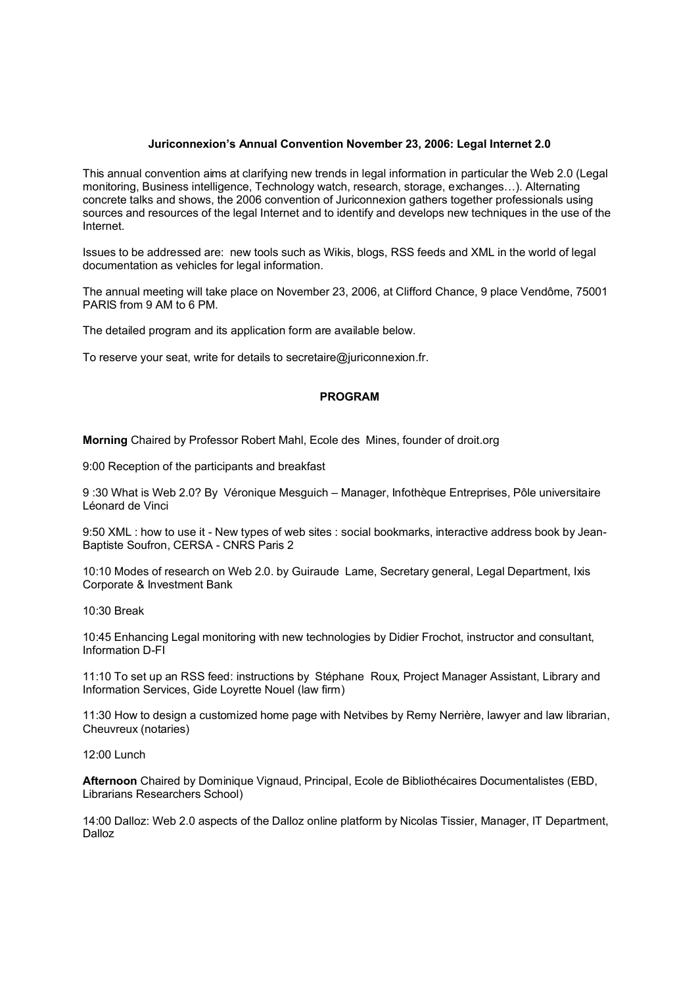## **Juriconnexion's Annual Convention November 23, 2006: Legal Internet 2.0**

This annual convention aims at clarifying new trends in legal information in particular the Web 2.0 (Legal monitoring, Business intelligence, Technology watch, research, storage, exchanges…). Alternating concrete talks and shows, the 2006 convention of Juriconnexion gathers together professionals using sources and resources of the legal Internet and to identify and develops new techniques in the use of the Internet.

Issues to be addressed are: new tools such as Wikis, blogs, RSS feeds and XML in the world of legal documentation as vehicles for legal information.

The annual meeting will take place on November 23, 2006, at Clifford Chance, 9 place Vendôme, 75001 PARIS from 9 AM to 6 PM.

The detailed program and its application form are available below.

To reserve your seat, write for details to secretaire@juriconnexion.fr.

## **PROGRAM**

**Morning** Chaired by Professor Robert Mahl, Ecole des Mines, founder of droit.org

9:00 Reception of the participants and breakfast

9 :30 What is Web 2.0? By Véronique Mesguich – Manager, Infothèque Entreprises, Pôle universitaire Léonard de Vinci

9:50 XML : how to use it - New types of web sites : social bookmarks, interactive address book by Jean-Baptiste Soufron, CERSA - CNRS Paris 2

10:10 Modes of research on Web 2.0. by Guiraude Lame, Secretary general, Legal Department, Ixis Corporate & Investment Bank

10:30 Break

10:45 Enhancing Legal monitoring with new technologies by Didier Frochot, instructor and consultant, Information D-FI

11:10 To set up an RSS feed: instructions by Stéphane Roux, Project Manager Assistant, Library and Information Services, Gide Loyrette Nouel (law firm)

11:30 How to design a customized home page with Netvibes by Remy Nerrière, lawyer and law librarian, Cheuvreux (notaries)

12:00 Lunch

**Afternoon** Chaired by Dominique Vignaud, Principal, Ecole de Bibliothécaires Documentalistes (EBD, Librarians Researchers School)

14:00 Dalloz: Web 2.0 aspects of the Dalloz online platform by Nicolas Tissier, Manager, IT Department, Dalloz